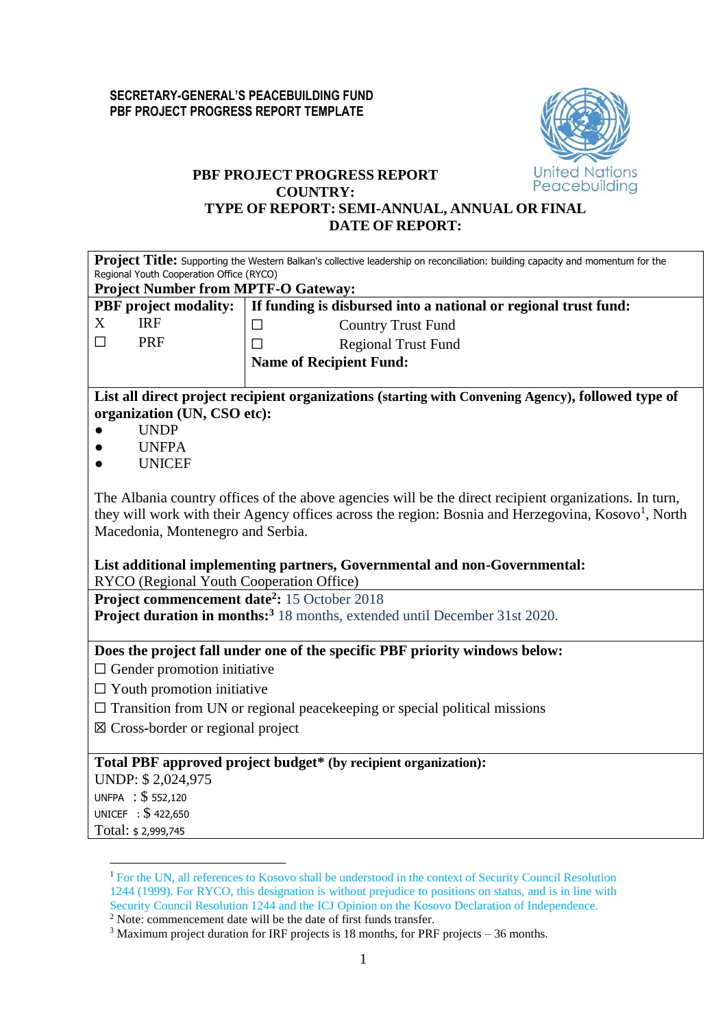

## **PBF PROJECT PROGRESS REPORT COUNTRY: TYPE OF REPORT: SEMI-ANNUAL, ANNUAL OR FINAL**

### **DATE OF REPORT:**

|                                                                                                               | Project Title: Supporting the Western Balkan's collective leadership on reconciliation: building capacity and momentum for the                                                               |  |  |  |  |  |  |
|---------------------------------------------------------------------------------------------------------------|----------------------------------------------------------------------------------------------------------------------------------------------------------------------------------------------|--|--|--|--|--|--|
| Regional Youth Cooperation Office (RYCO)                                                                      |                                                                                                                                                                                              |  |  |  |  |  |  |
| <b>Project Number from MPTF-O Gateway:</b><br>If funding is disbursed into a national or regional trust fund: |                                                                                                                                                                                              |  |  |  |  |  |  |
| <b>PBF</b> project modality:<br>X<br><b>IRF</b>                                                               |                                                                                                                                                                                              |  |  |  |  |  |  |
| $\Box$<br><b>PRF</b>                                                                                          | <b>Country Trust Fund</b><br>$\Box$                                                                                                                                                          |  |  |  |  |  |  |
|                                                                                                               | <b>Regional Trust Fund</b><br>$\Box$                                                                                                                                                         |  |  |  |  |  |  |
|                                                                                                               | <b>Name of Recipient Fund:</b>                                                                                                                                                               |  |  |  |  |  |  |
| organization (UN, CSO etc):                                                                                   | List all direct project recipient organizations (starting with Convening Agency), followed type of                                                                                           |  |  |  |  |  |  |
| <b>UNDP</b>                                                                                                   |                                                                                                                                                                                              |  |  |  |  |  |  |
| <b>UNFPA</b>                                                                                                  |                                                                                                                                                                                              |  |  |  |  |  |  |
| <b>UNICEF</b>                                                                                                 |                                                                                                                                                                                              |  |  |  |  |  |  |
| Macedonia, Montenegro and Serbia.<br>RYCO (Regional Youth Cooperation Office)                                 | they will work with their Agency offices across the region: Bosnia and Herzegovina, Kosovo <sup>1</sup> , North<br>List additional implementing partners, Governmental and non-Governmental: |  |  |  |  |  |  |
| Project commencement date <sup>2</sup> : 15 October 2018                                                      |                                                                                                                                                                                              |  |  |  |  |  |  |
|                                                                                                               | <b>Project duration in months:</b> <sup>3</sup> 18 months, extended until December 31st 2020.                                                                                                |  |  |  |  |  |  |
|                                                                                                               | Does the project fall under one of the specific PBF priority windows below:                                                                                                                  |  |  |  |  |  |  |
| $\Box$ Gender promotion initiative                                                                            |                                                                                                                                                                                              |  |  |  |  |  |  |
| $\Box$ Youth promotion initiative                                                                             |                                                                                                                                                                                              |  |  |  |  |  |  |
|                                                                                                               | $\Box$ Transition from UN or regional peace keeping or special political missions                                                                                                            |  |  |  |  |  |  |
| $\boxtimes$ Cross-border or regional project                                                                  |                                                                                                                                                                                              |  |  |  |  |  |  |
| UNDP: \$2,024,975<br>UNFPA : \$552,120<br>UNICEF : \$422,650                                                  | Total PBF approved project budget* (by recipient organization):                                                                                                                              |  |  |  |  |  |  |
| Total: \$2,999,745                                                                                            |                                                                                                                                                                                              |  |  |  |  |  |  |

<sup>&</sup>lt;sup>1</sup> For the UN, all references to Kosovo shall be understood in the context of Security Council Resolution 1244 (1999). For RYCO, this designation is without prejudice to positions on status, and is in line with 1244 Security Council Resolution 1244 and the ICJ Opinion on the Kosovo Declaration of Independence.

 $2$  Note: commencement date will be the date of first funds transfer.

<sup>&</sup>lt;sup>3</sup> Maximum project duration for IRF projects is 18 months, for PRF projects – 36 months.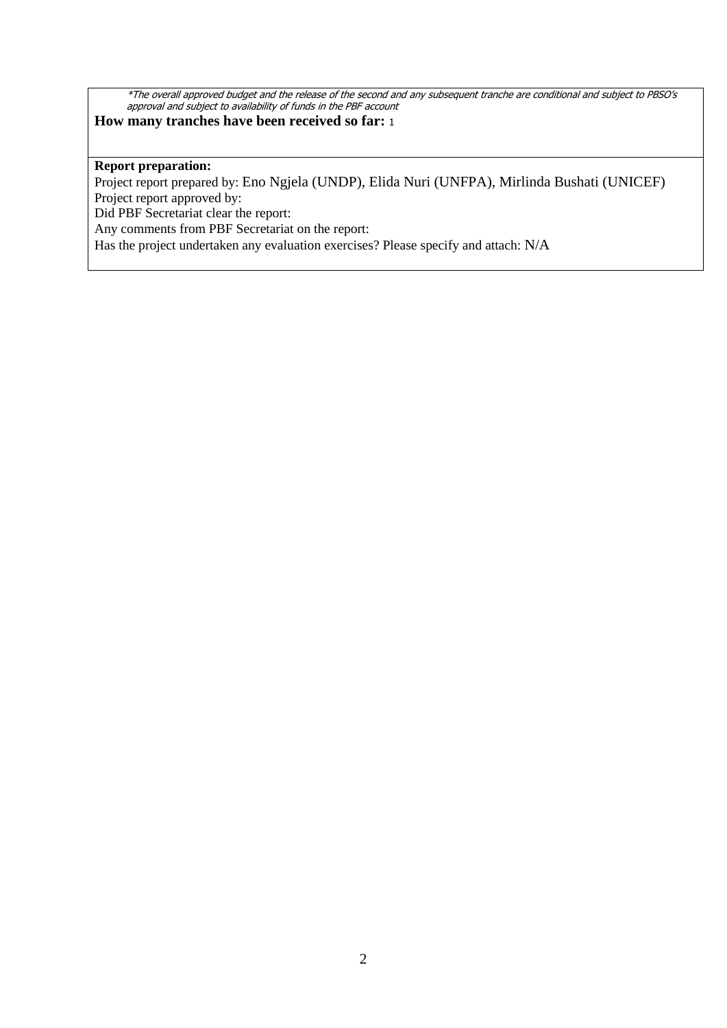\*The overall approved budget and the release of the second and any subsequent tranche are conditional and subject to PBSO's approval and subject to availability of funds in the PBF account

## **How many tranches have been received so far:** <sup>1</sup>

#### **Report preparation:**

Project report prepared by: Eno Ngjela (UNDP), Elida Nuri (UNFPA), Mirlinda Bushati (UNICEF) Project report approved by:

Did PBF Secretariat clear the report:

Any comments from PBF Secretariat on the report:

Has the project undertaken any evaluation exercises? Please specify and attach: N/A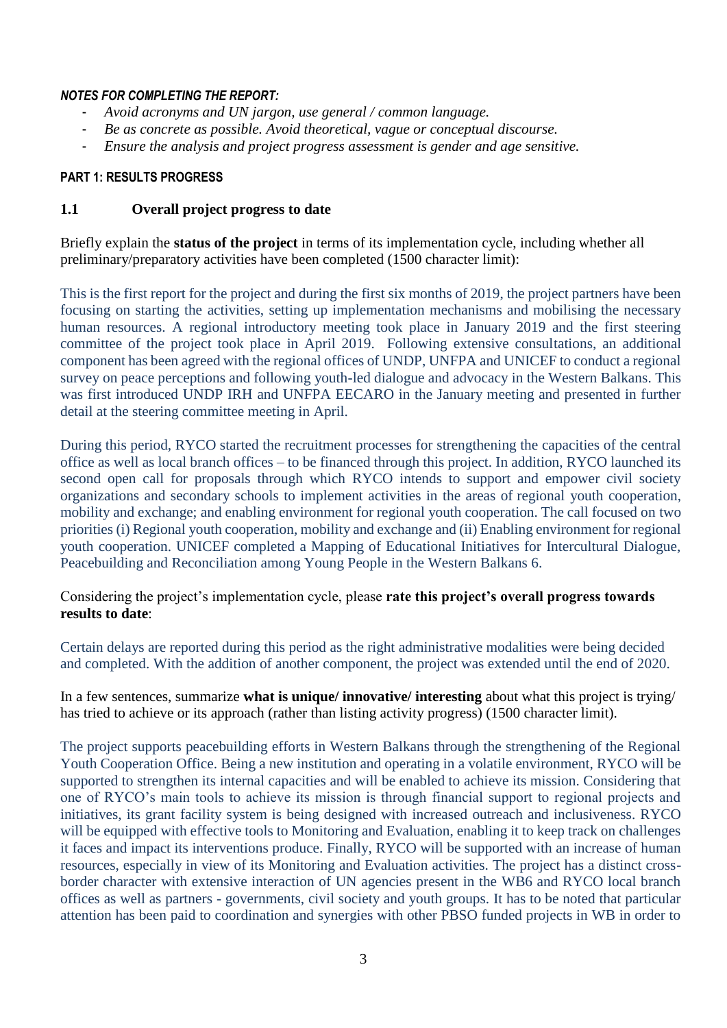#### *NOTES FOR COMPLETING THE REPORT:*

- *Avoid acronyms and UN jargon, use general / common language.*
- *Be as concrete as possible. Avoid theoretical, vague or conceptual discourse.*
- *Ensure the analysis and project progress assessment is gender and age sensitive.*

### **PART 1: RESULTS PROGRESS**

### **1.1 Overall project progress to date**

Briefly explain the **status of the project** in terms of its implementation cycle, including whether all preliminary/preparatory activities have been completed (1500 character limit):

This is the first report for the project and during the first six months of 2019, the project partners have been focusing on starting the activities, setting up implementation mechanisms and mobilising the necessary human resources. A regional introductory meeting took place in January 2019 and the first steering committee of the project took place in April 2019. Following extensive consultations, an additional component has been agreed with the regional offices of UNDP, UNFPA and UNICEF to conduct a regional survey on peace perceptions and following youth-led dialogue and advocacy in the Western Balkans. This was first introduced UNDP IRH and UNFPA EECARO in the January meeting and presented in further detail at the steering committee meeting in April.

During this period, RYCO started the recruitment processes for strengthening the capacities of the central office as well as local branch offices – to be financed through this project. In addition, RYCO launched its second open call for proposals through which RYCO intends to support and empower civil society organizations and secondary schools to implement activities in the areas of regional youth cooperation, mobility and exchange; and enabling environment for regional youth cooperation. The call focused on two priorities (i) Regional youth cooperation, mobility and exchange and (ii) Enabling environment for regional youth cooperation. UNICEF completed a Mapping of Educational Initiatives for Intercultural Dialogue, Peacebuilding and Reconciliation among Young People in the Western Balkans 6.

Considering the project's implementation cycle, please **rate this project's overall progress towards results to date**:

Certain delays are reported during this period as the right administrative modalities were being decided and completed. With the addition of another component, the project was extended until the end of 2020.

In a few sentences, summarize **what is unique/ innovative/ interesting** about what this project is trying/ has tried to achieve or its approach (rather than listing activity progress) (1500 character limit).

The project supports peacebuilding efforts in Western Balkans through the strengthening of the Regional Youth Cooperation Office. Being a new institution and operating in a volatile environment, RYCO will be supported to strengthen its internal capacities and will be enabled to achieve its mission. Considering that one of RYCO's main tools to achieve its mission is through financial support to regional projects and initiatives, its grant facility system is being designed with increased outreach and inclusiveness. RYCO will be equipped with effective tools to Monitoring and Evaluation, enabling it to keep track on challenges it faces and impact its interventions produce. Finally, RYCO will be supported with an increase of human resources, especially in view of its Monitoring and Evaluation activities. The project has a distinct crossborder character with extensive interaction of UN agencies present in the WB6 and RYCO local branch offices as well as partners - governments, civil society and youth groups. It has to be noted that particular attention has been paid to coordination and synergies with other PBSO funded projects in WB in order to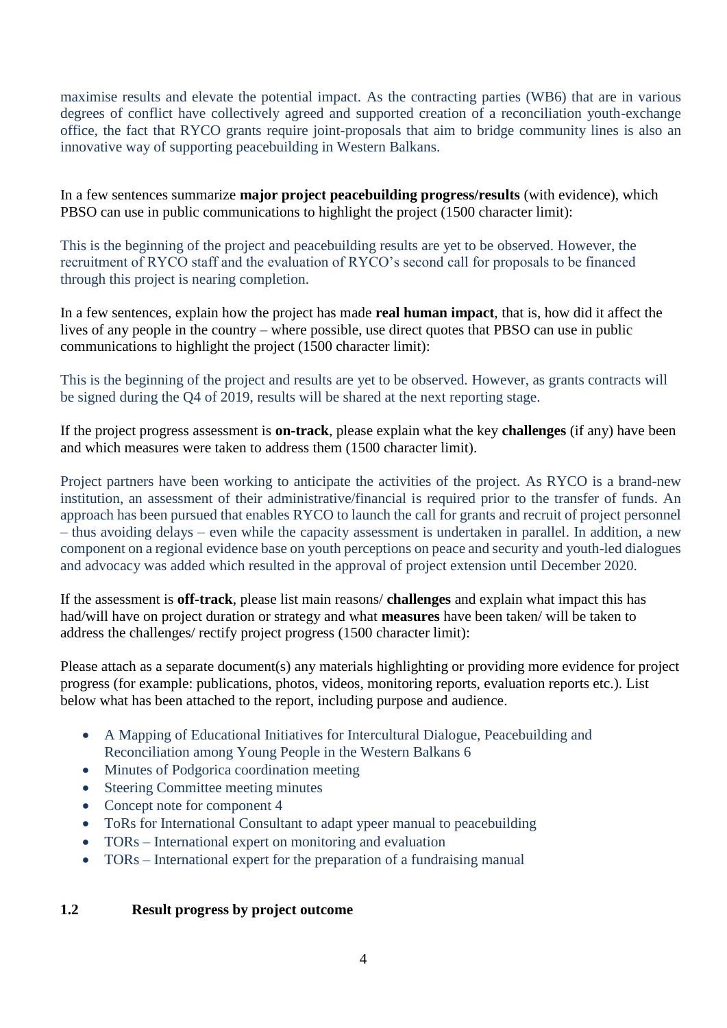maximise results and elevate the potential impact. As the contracting parties (WB6) that are in various degrees of conflict have collectively agreed and supported creation of a reconciliation youth-exchange office, the fact that RYCO grants require joint-proposals that aim to bridge community lines is also an innovative way of supporting peacebuilding in Western Balkans.

In a few sentences summarize **major project peacebuilding progress/results** (with evidence), which PBSO can use in public communications to highlight the project (1500 character limit):

This is the beginning of the project and peacebuilding results are yet to be observed. However, the recruitment of RYCO staff and the evaluation of RYCO's second call for proposals to be financed through this project is nearing completion.

In a few sentences, explain how the project has made **real human impact**, that is, how did it affect the lives of any people in the country – where possible, use direct quotes that PBSO can use in public communications to highlight the project (1500 character limit):

This is the beginning of the project and results are yet to be observed. However, as grants contracts will be signed during the Q4 of 2019, results will be shared at the next reporting stage.

If the project progress assessment is **on-track**, please explain what the key **challenges** (if any) have been and which measures were taken to address them (1500 character limit).

Project partners have been working to anticipate the activities of the project. As RYCO is a brand-new institution, an assessment of their administrative/financial is required prior to the transfer of funds. An approach has been pursued that enables RYCO to launch the call for grants and recruit of project personnel – thus avoiding delays – even while the capacity assessment is undertaken in parallel. In addition, a new component on a regional evidence base on youth perceptions on peace and security and youth-led dialogues and advocacy was added which resulted in the approval of project extension until December 2020.

If the assessment is **off-track**, please list main reasons/ **challenges** and explain what impact this has had/will have on project duration or strategy and what **measures** have been taken/ will be taken to address the challenges/ rectify project progress (1500 character limit):

Please attach as a separate document(s) any materials highlighting or providing more evidence for project progress (for example: publications, photos, videos, monitoring reports, evaluation reports etc.). List below what has been attached to the report, including purpose and audience.

- A Mapping of Educational Initiatives for Intercultural Dialogue, Peacebuilding and Reconciliation among Young People in the Western Balkans 6
- Minutes of Podgorica coordination meeting
- Steering Committee meeting minutes
- Concept note for component 4
- ToRs for International Consultant to adapt ypeer manual to peacebuilding
- TORs International expert on monitoring and evaluation
- TORs International expert for the preparation of a fundraising manual

### **1.2 Result progress by project outcome**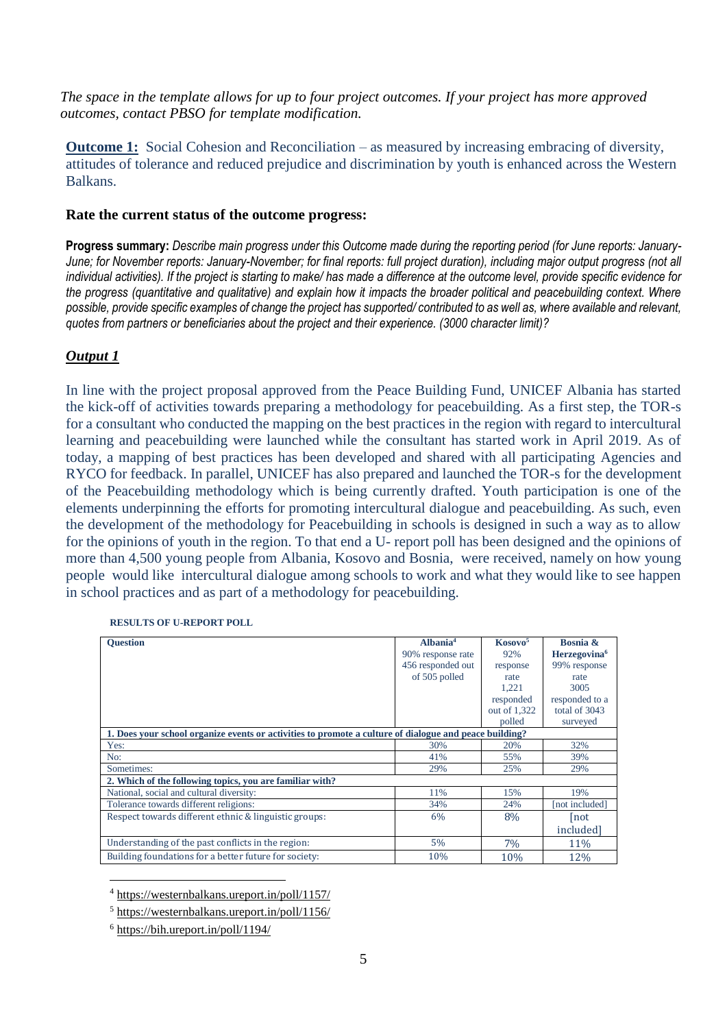*The space in the template allows for up to four project outcomes. If your project has more approved outcomes, contact PBSO for template modification.*

**Outcome 1:** Social Cohesion and Reconciliation – as measured by increasing embracing of diversity, attitudes of tolerance and reduced prejudice and discrimination by youth is enhanced across the Western Balkans.

#### **Rate the current status of the outcome progress:**

**Progress summary:** *Describe main progress under this Outcome made during the reporting period (for June reports: January-*June; for November reports: January-November; for final reports: full project duration), including major output progress (not all *individual activities). If the project is starting to make/ has made a difference at the outcome level, provide specific evidence for the progress (quantitative and qualitative) and explain how it impacts the broader political and peacebuilding context. Where possible, provide specific examples of change the project has supported/ contributed to as well as, where available and relevant, quotes from partners or beneficiaries about the project and their experience. (3000 character limit)?* 

### *Output 1*

In line with the project proposal approved from the Peace Building Fund, UNICEF Albania has started the kick-off of activities towards preparing a methodology for peacebuilding. As a first step, the TOR-s for a consultant who conducted the mapping on the best practices in the region with regard to intercultural learning and peacebuilding were launched while the consultant has started work in April 2019. As of today, a mapping of best practices has been developed and shared with all participating Agencies and RYCO for feedback. In parallel, UNICEF has also prepared and launched the TOR-s for the development of the Peacebuilding methodology which is being currently drafted. Youth participation is one of the elements underpinning the efforts for promoting intercultural dialogue and peacebuilding. As such, even the development of the methodology for Peacebuilding in schools is designed in such a way as to allow for the opinions of youth in the region. To that end a U- report poll has been designed and the opinions of more than 4,500 young people from Albania, Kosovo and Bosnia, were received, namely on how young people would like intercultural dialogue among schools to work and what they would like to see happen in school practices and as part of a methodology for peacebuilding.

| <b>Ouestion</b>                                                                                        | Albania <sup>4</sup> | Kosovo <sup>5</sup> | Bosnia &                 |
|--------------------------------------------------------------------------------------------------------|----------------------|---------------------|--------------------------|
|                                                                                                        | 90% response rate    | 92%                 | Herzegovina <sup>6</sup> |
|                                                                                                        | 456 responded out    | response            | 99% response             |
|                                                                                                        | of 505 polled        | rate                | rate                     |
|                                                                                                        |                      | 1,221               | 3005                     |
|                                                                                                        |                      | responded           | responded to a           |
|                                                                                                        |                      | out of 1,322        | total of 3043            |
|                                                                                                        |                      | polled              | surveyed                 |
| 1. Does your school organize events or activities to promote a culture of dialogue and peace building? |                      |                     |                          |
| Yes:                                                                                                   | 30%                  | 20%                 | 32%                      |
| No:                                                                                                    | 41%                  | 55%                 | 39%                      |
| Sometimes:                                                                                             | 29%                  | 25%                 | 29%                      |
| 2. Which of the following topics, you are familiar with?                                               |                      |                     |                          |
| National, social and cultural diversity:                                                               | 11%                  | 15%                 | 19%                      |
| Tolerance towards different religions:                                                                 | 34%                  | 24%                 | [not included]           |
| Respect towards different ethnic & linguistic groups:                                                  | 6%                   | 8%                  | not                      |
|                                                                                                        |                      |                     | included]                |
| Understanding of the past conflicts in the region:                                                     | 5%                   | 7%                  | 11%                      |
| Building foundations for a better future for society:                                                  | 10%                  | 10%                 | 12%                      |

**RESULTS OF U-REPORT POLL**

<sup>4</sup> <https://westernbalkans.ureport.in/poll/1157/>

<sup>6</sup> <https://bih.ureport.in/poll/1194/>

<u>.</u>

<sup>5</sup> <https://westernbalkans.ureport.in/poll/1156/>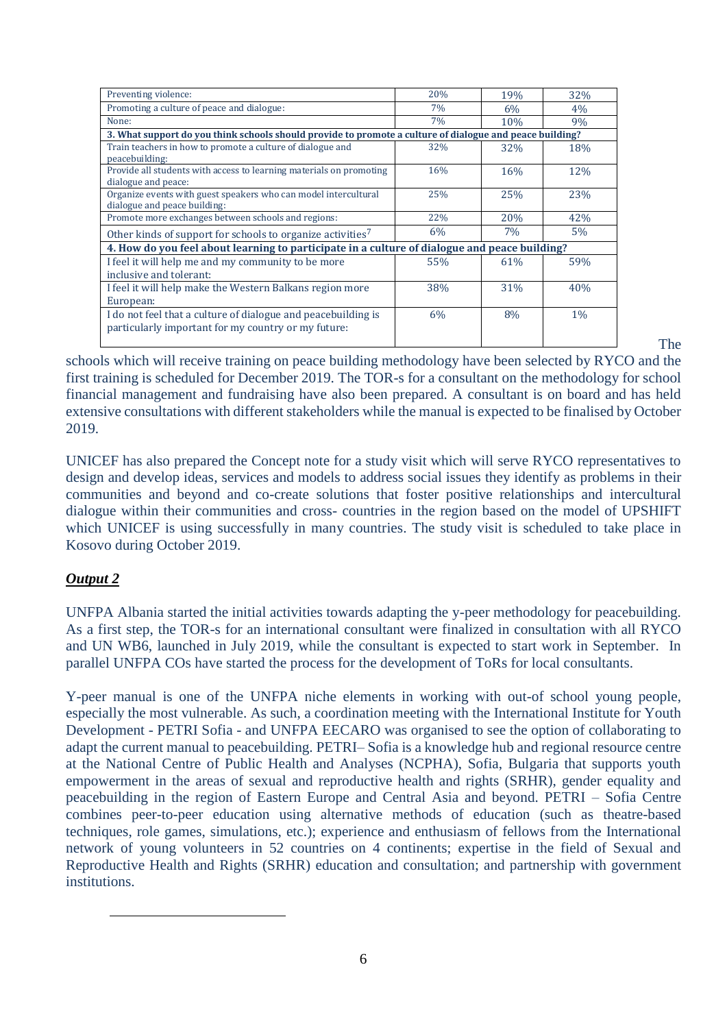| Preventing violence:                                                                                                 | 20% | 19% | 32%   |  |
|----------------------------------------------------------------------------------------------------------------------|-----|-----|-------|--|
| Promoting a culture of peace and dialogue:                                                                           | 7%  | 6%  | 4%    |  |
| None:                                                                                                                | 7%  | 10% | 9%    |  |
| 3. What support do you think schools should provide to promote a culture of dialogue and peace building?             |     |     |       |  |
| Train teachers in how to promote a culture of dialogue and<br>peacebuilding:                                         | 32% | 32% | 18%   |  |
| Provide all students with access to learning materials on promoting<br>dialogue and peace:                           | 16% | 16% | 12%   |  |
| Organize events with guest speakers who can model intercultural<br>dialogue and peace building:                      | 25% | 25% | 23%   |  |
| Promote more exchanges between schools and regions:                                                                  | 22% | 20% | 42%   |  |
| Other kinds of support for schools to organize activities <sup>7</sup>                                               | 6%  | 7%  | $5\%$ |  |
| 4. How do you feel about learning to participate in a culture of dialogue and peace building?                        |     |     |       |  |
| I feel it will help me and my community to be more<br>inclusive and tolerant:                                        | 55% | 61% | 59%   |  |
| I feel it will help make the Western Balkans region more<br>European:                                                | 38% | 31% | 40%   |  |
| I do not feel that a culture of dialogue and peacebuilding is<br>particularly important for my country or my future: | 6%  | 8%  | $1\%$ |  |

The

schools which will receive training on peace building methodology have been selected by RYCO and the first training is scheduled for December 2019. The TOR-s for a consultant on the methodology for school financial management and fundraising have also been prepared. A consultant is on board and has held extensive consultations with different stakeholders while the manual is expected to be finalised by October 2019.

UNICEF has also prepared the Concept note for a study visit which will serve RYCO representatives to design and develop ideas, services and models to address social issues they identify as problems in their communities and beyond and co-create solutions that foster positive relationships and intercultural dialogue within their communities and cross- countries in the region based on the model of UPSHIFT which UNICEF is using successfully in many countries. The study visit is scheduled to take place in Kosovo during October 2019.

# *Output 2*

1

UNFPA Albania started the initial activities towards adapting the y-peer methodology for peacebuilding. As a first step, the TOR-s for an international consultant were finalized in consultation with all RYCO and UN WB6, launched in July 2019, while the consultant is expected to start work in September. In parallel UNFPA COs have started the process for the development of ToRs for local consultants.

Y-peer manual is one of the UNFPA niche elements in working with out-of school young people, especially the most vulnerable. As such, a coordination meeting with the International Institute for Youth Development - PETRI Sofia - and UNFPA EECARO was organised to see the option of collaborating to adapt the current manual to peacebuilding. PETRI– Sofia is a knowledge hub and regional resource centre at the National Centre of Public Health and Analyses (NCPHA), Sofia, Bulgaria that supports youth empowerment in the areas of sexual and reproductive health and rights (SRHR), gender equality and peacebuilding in the region of Eastern Europe and Central Asia and beyond. PETRI – Sofia Centre combines peer-to-peer education using alternative methods of education (such as theatre-based techniques, role games, simulations, etc.); experience and enthusiasm of fellows from the International network of young volunteers in 52 countries on 4 continents; expertise in the field of Sexual and Reproductive Health and Rights (SRHR) education and consultation; and partnership with government institutions.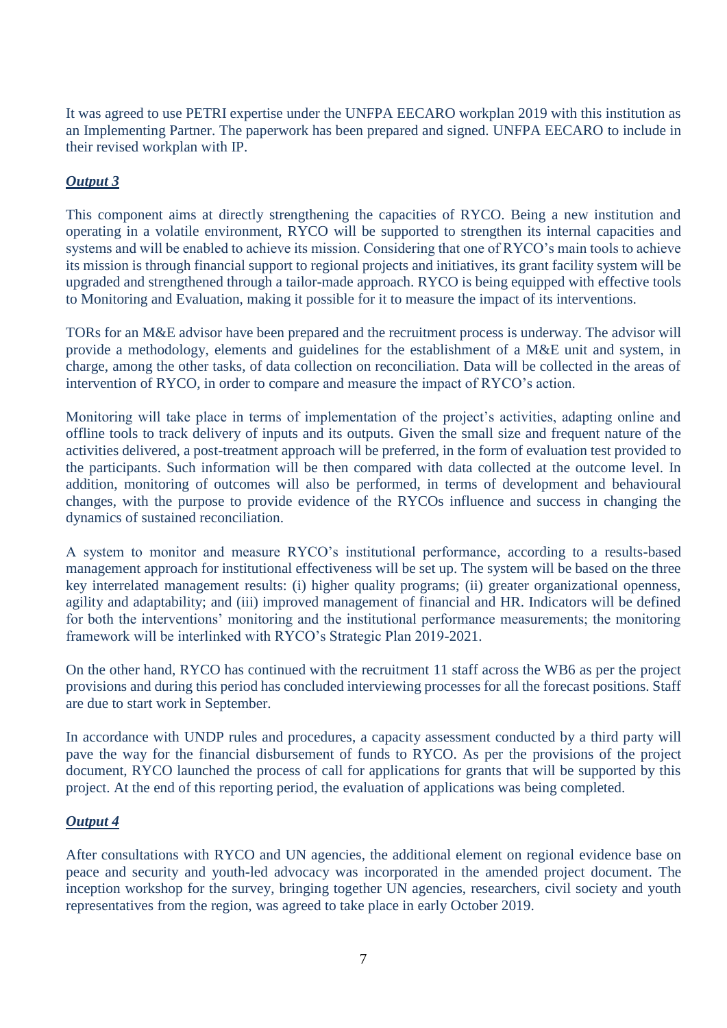It was agreed to use PETRI expertise under the UNFPA EECARO workplan 2019 with this institution as an Implementing Partner. The paperwork has been prepared and signed. UNFPA EECARO to include in their revised workplan with IP.

# *Output 3*

This component aims at directly strengthening the capacities of RYCO. Being a new institution and operating in a volatile environment, RYCO will be supported to strengthen its internal capacities and systems and will be enabled to achieve its mission. Considering that one of RYCO's main tools to achieve its mission is through financial support to regional projects and initiatives, its grant facility system will be upgraded and strengthened through a tailor-made approach. RYCO is being equipped with effective tools to Monitoring and Evaluation, making it possible for it to measure the impact of its interventions.

TORs for an M&E advisor have been prepared and the recruitment process is underway. The advisor will provide a methodology, elements and guidelines for the establishment of a M&E unit and system, in charge, among the other tasks, of data collection on reconciliation. Data will be collected in the areas of intervention of RYCO, in order to compare and measure the impact of RYCO's action.

Monitoring will take place in terms of implementation of the project's activities, adapting online and offline tools to track delivery of inputs and its outputs. Given the small size and frequent nature of the activities delivered, a post-treatment approach will be preferred, in the form of evaluation test provided to the participants. Such information will be then compared with data collected at the outcome level. In addition, monitoring of outcomes will also be performed, in terms of development and behavioural changes, with the purpose to provide evidence of the RYCOs influence and success in changing the dynamics of sustained reconciliation.

A system to monitor and measure RYCO's institutional performance, according to a results-based management approach for institutional effectiveness will be set up. The system will be based on the three key interrelated management results: (i) higher quality programs; (ii) greater organizational openness, agility and adaptability; and (iii) improved management of financial and HR. Indicators will be defined for both the interventions' monitoring and the institutional performance measurements; the monitoring framework will be interlinked with RYCO's Strategic Plan 2019-2021.

On the other hand, RYCO has continued with the recruitment 11 staff across the WB6 as per the project provisions and during this period has concluded interviewing processes for all the forecast positions. Staff are due to start work in September.

In accordance with UNDP rules and procedures, a capacity assessment conducted by a third party will pave the way for the financial disbursement of funds to RYCO. As per the provisions of the project document, RYCO launched the process of call for applications for grants that will be supported by this project. At the end of this reporting period, the evaluation of applications was being completed.

# *Output 4*

After consultations with RYCO and UN agencies, the additional element on regional evidence base on peace and security and youth-led advocacy was incorporated in the amended project document. The inception workshop for the survey, bringing together UN agencies, researchers, civil society and youth representatives from the region, was agreed to take place in early October 2019.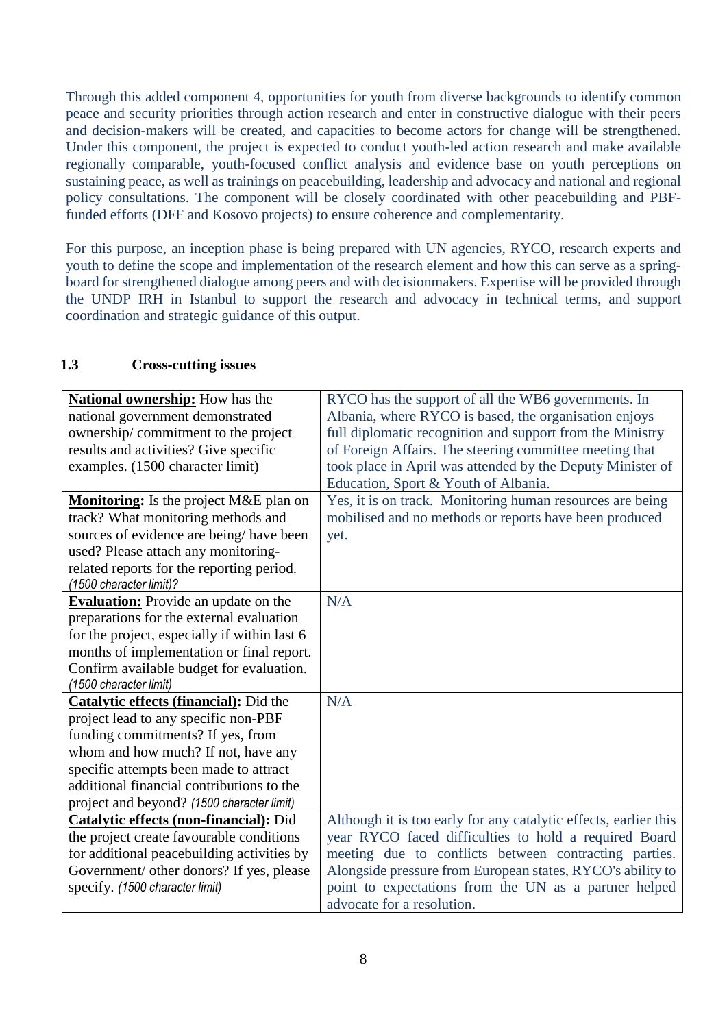Through this added component 4, opportunities for youth from diverse backgrounds to identify common peace and security priorities through action research and enter in constructive dialogue with their peers and decision-makers will be created, and capacities to become actors for change will be strengthened. Under this component, the project is expected to conduct youth-led action research and make available regionally comparable, youth-focused conflict analysis and evidence base on youth perceptions on sustaining peace, as well as trainings on peacebuilding, leadership and advocacy and national and regional policy consultations. The component will be closely coordinated with other peacebuilding and PBFfunded efforts (DFF and Kosovo projects) to ensure coherence and complementarity.

For this purpose, an inception phase is being prepared with UN agencies, RYCO, research experts and youth to define the scope and implementation of the research element and how this can serve as a springboard for strengthened dialogue among peers and with decisionmakers. Expertise will be provided through the UNDP IRH in Istanbul to support the research and advocacy in technical terms, and support coordination and strategic guidance of this output.

# **1.3 Cross-cutting issues**

| <b>National ownership:</b> How has the        | RYCO has the support of all the WB6 governments. In              |
|-----------------------------------------------|------------------------------------------------------------------|
| national government demonstrated              | Albania, where RYCO is based, the organisation enjoys            |
| ownership/commitment to the project           | full diplomatic recognition and support from the Ministry        |
| results and activities? Give specific         | of Foreign Affairs. The steering committee meeting that          |
| examples. (1500 character limit)              | took place in April was attended by the Deputy Minister of       |
|                                               | Education, Sport & Youth of Albania.                             |
| Monitoring: Is the project M&E plan on        | Yes, it is on track. Monitoring human resources are being        |
| track? What monitoring methods and            | mobilised and no methods or reports have been produced           |
| sources of evidence are being/have been       | yet.                                                             |
| used? Please attach any monitoring-           |                                                                  |
| related reports for the reporting period.     |                                                                  |
| (1500 character limit)?                       |                                                                  |
| <b>Evaluation:</b> Provide an update on the   | N/A                                                              |
| preparations for the external evaluation      |                                                                  |
| for the project, especially if within last 6  |                                                                  |
| months of implementation or final report.     |                                                                  |
| Confirm available budget for evaluation.      |                                                                  |
| (1500 character limit)                        |                                                                  |
| <b>Catalytic effects (financial):</b> Did the | N/A                                                              |
| project lead to any specific non-PBF          |                                                                  |
| funding commitments? If yes, from             |                                                                  |
| whom and how much? If not, have any           |                                                                  |
| specific attempts been made to attract        |                                                                  |
| additional financial contributions to the     |                                                                  |
| project and beyond? (1500 character limit)    |                                                                  |
| <b>Catalytic effects (non-financial): Did</b> | Although it is too early for any catalytic effects, earlier this |
| the project create favourable conditions      | year RYCO faced difficulties to hold a required Board            |
| for additional peacebuilding activities by    | meeting due to conflicts between contracting parties.            |
| Government/ other donors? If yes, please      | Alongside pressure from European states, RYCO's ability to       |
| specify. (1500 character limit)               | point to expectations from the UN as a partner helped            |
|                                               | advocate for a resolution.                                       |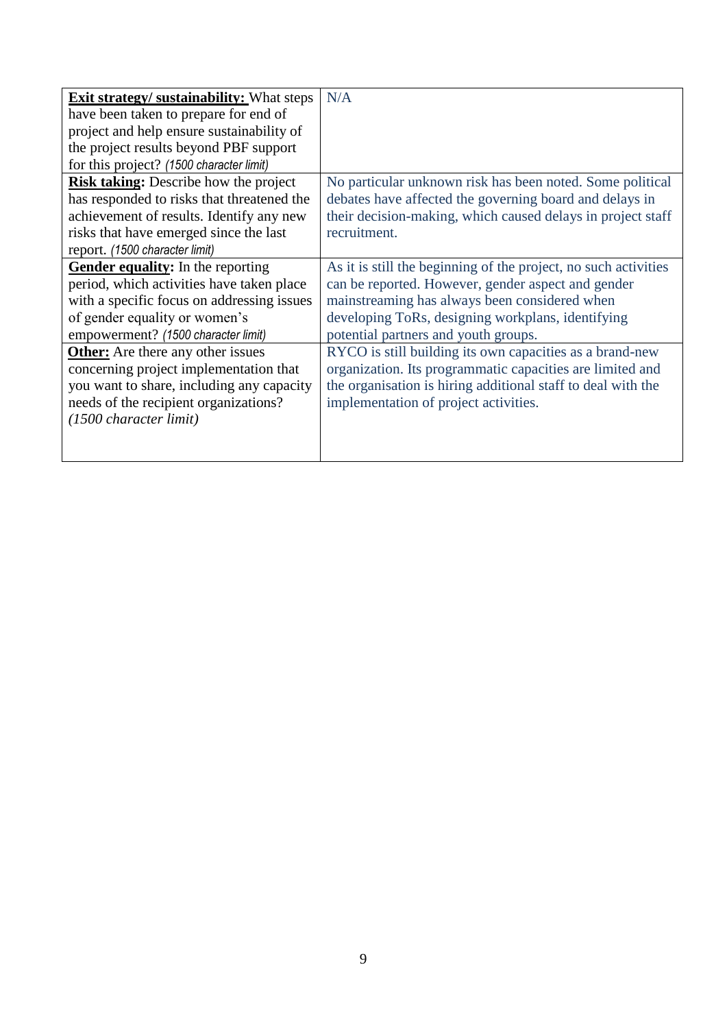| <b>Exit strategy/ sustainability:</b> What steps | N/A                                                             |
|--------------------------------------------------|-----------------------------------------------------------------|
| have been taken to prepare for end of            |                                                                 |
| project and help ensure sustainability of        |                                                                 |
| the project results beyond PBF support           |                                                                 |
| for this project? (1500 character limit)         |                                                                 |
| <b>Risk taking:</b> Describe how the project     | No particular unknown risk has been noted. Some political       |
| has responded to risks that threatened the       | debates have affected the governing board and delays in         |
| achievement of results. Identify any new         | their decision-making, which caused delays in project staff     |
| risks that have emerged since the last           | recruitment.                                                    |
| report. (1500 character limit)                   |                                                                 |
| <b>Gender equality:</b> In the reporting         | As it is still the beginning of the project, no such activities |
| period, which activities have taken place        | can be reported. However, gender aspect and gender              |
| with a specific focus on addressing issues       | mainstreaming has always been considered when                   |
| of gender equality or women's                    | developing ToRs, designing workplans, identifying               |
| empowerment? (1500 character limit)              | potential partners and youth groups.                            |
| <b>Other:</b> Are there any other issues         | RYCO is still building its own capacities as a brand-new        |
| concerning project implementation that           | organization. Its programmatic capacities are limited and       |
| you want to share, including any capacity        | the organisation is hiring additional staff to deal with the    |
| needs of the recipient organizations?            | implementation of project activities.                           |
| (1500 character limit)                           |                                                                 |
|                                                  |                                                                 |
|                                                  |                                                                 |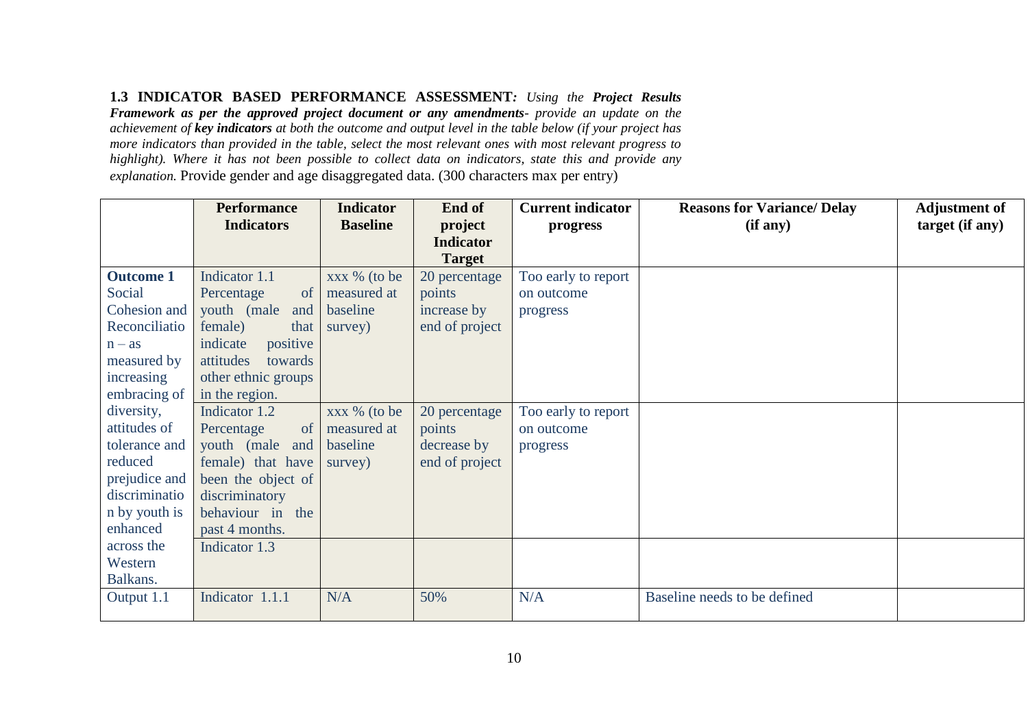# **1.3 INDICATOR BASED PERFORMANCE ASSESSMENT***: Using the Project Results*

*Framework as per the approved project document or any amendments- provide an update on the achievement of key indicators at both the outcome and output level in the table below (if your project has more indicators than provided in the table, select the most relevant ones with most relevant progress to highlight). Where it has not been possible to collect data on indicators, state this and provide any explanation.* Provide gender and age disaggregated data. (300 characters max per entry)

|                  | <b>Performance</b>   | <b>Indicator</b> | End of           | <b>Current indicator</b> | <b>Reasons for Variance/ Delay</b> | <b>Adjustment of</b> |
|------------------|----------------------|------------------|------------------|--------------------------|------------------------------------|----------------------|
|                  | <b>Indicators</b>    | <b>Baseline</b>  | project          | progress                 | (if any)                           | target (if any)      |
|                  |                      |                  | <b>Indicator</b> |                          |                                    |                      |
|                  |                      |                  | <b>Target</b>    |                          |                                    |                      |
| <b>Outcome 1</b> | Indicator 1.1        | xxx % (to be     | 20 percentage    | Too early to report      |                                    |                      |
| Social           | of<br>Percentage     | measured at      | points           | on outcome               |                                    |                      |
| Cohesion and     | youth (male<br>and   | baseline         | increase by      | progress                 |                                    |                      |
| Reconciliatio    | female)<br>that      | survey)          | end of project   |                          |                                    |                      |
| $n - as$         | indicate<br>positive |                  |                  |                          |                                    |                      |
| measured by      | towards<br>attitudes |                  |                  |                          |                                    |                      |
| increasing       | other ethnic groups  |                  |                  |                          |                                    |                      |
| embracing of     | in the region.       |                  |                  |                          |                                    |                      |
| diversity,       | Indicator 1.2        | xxx % (to be     | 20 percentage    | Too early to report      |                                    |                      |
| attitudes of     | of<br>Percentage     | measured at      | points           | on outcome               |                                    |                      |
| tolerance and    | youth (male<br>and   | baseline         | decrease by      | progress                 |                                    |                      |
| reduced          | female) that have    | survey)          | end of project   |                          |                                    |                      |
| prejudice and    | been the object of   |                  |                  |                          |                                    |                      |
| discriminatio    | discriminatory       |                  |                  |                          |                                    |                      |
| n by youth is    | behaviour in the     |                  |                  |                          |                                    |                      |
| enhanced         | past 4 months.       |                  |                  |                          |                                    |                      |
| across the       | Indicator 1.3        |                  |                  |                          |                                    |                      |
| Western          |                      |                  |                  |                          |                                    |                      |
| Balkans.         |                      |                  |                  |                          |                                    |                      |
| Output 1.1       | Indicator 1.1.1      | N/A              | 50%              | N/A                      | Baseline needs to be defined       |                      |
|                  |                      |                  |                  |                          |                                    |                      |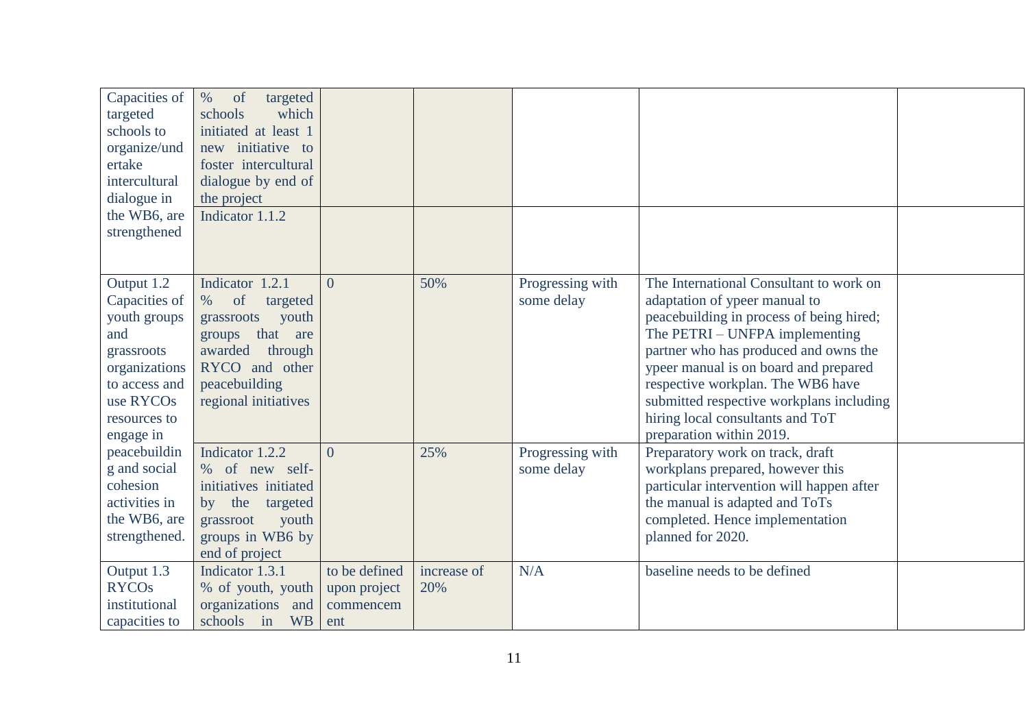| Capacities of<br>targeted<br>schools to<br>organize/und<br>ertake<br>intercultural<br>dialogue in<br>the WB6, are<br>strengthened            | $\%$<br>of<br>targeted<br>which<br>schools<br>initiated at least 1<br>new initiative to<br>foster intercultural<br>dialogue by end of<br>the project<br>Indicator 1.1.2 |                                                   |                    |                                |                                                                                                                                                                                                                                                                                                                                                                                           |  |
|----------------------------------------------------------------------------------------------------------------------------------------------|-------------------------------------------------------------------------------------------------------------------------------------------------------------------------|---------------------------------------------------|--------------------|--------------------------------|-------------------------------------------------------------------------------------------------------------------------------------------------------------------------------------------------------------------------------------------------------------------------------------------------------------------------------------------------------------------------------------------|--|
| Output 1.2<br>Capacities of<br>youth groups<br>and<br>grassroots<br>organizations<br>to access and<br>use RYCOs<br>resources to<br>engage in | Indicator 1.2.1<br>of<br>$\%$<br>targeted<br>grassroots<br>youth<br>that are<br>groups<br>awarded<br>through<br>RYCO and other<br>peacebuilding<br>regional initiatives | $\Omega$                                          | 50%                | Progressing with<br>some delay | The International Consultant to work on<br>adaptation of ypeer manual to<br>peacebuilding in process of being hired;<br>The PETRI – UNFPA implementing<br>partner who has produced and owns the<br>ypeer manual is on board and prepared<br>respective workplan. The WB6 have<br>submitted respective workplans including<br>hiring local consultants and ToT<br>preparation within 2019. |  |
| peacebuildin<br>g and social<br>cohesion<br>activities in<br>the WB6, are<br>strengthened.                                                   | Indicator 1.2.2<br>% of new self-<br>initiatives initiated<br>by the<br>targeted<br>youth<br>grassroot<br>groups in WB6 by<br>end of project                            | $\Omega$                                          | 25%                | Progressing with<br>some delay | Preparatory work on track, draft<br>workplans prepared, however this<br>particular intervention will happen after<br>the manual is adapted and ToTs<br>completed. Hence implementation<br>planned for 2020.                                                                                                                                                                               |  |
| Output 1.3<br><b>RYCOs</b><br>institutional<br>capacities to                                                                                 | Indicator 1.3.1<br>% of youth, youth<br>organizations and<br>schools in<br><b>WB</b>                                                                                    | to be defined<br>upon project<br>commencem<br>ent | increase of<br>20% | N/A                            | baseline needs to be defined                                                                                                                                                                                                                                                                                                                                                              |  |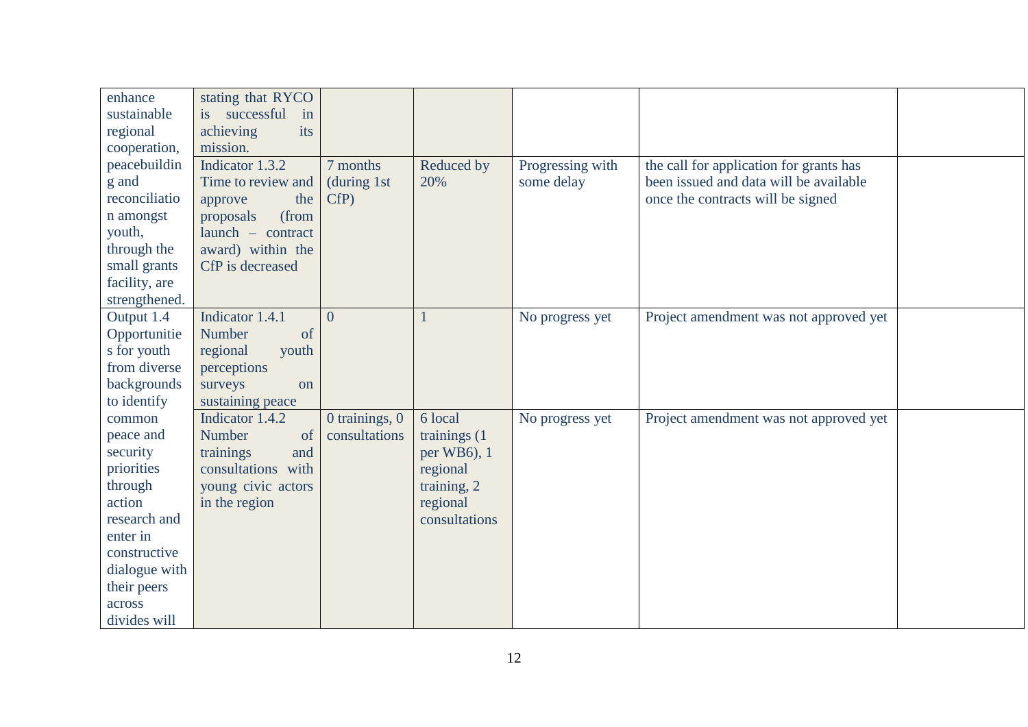| enhance       | stating that RYCO  |                |               |                  |                                         |  |
|---------------|--------------------|----------------|---------------|------------------|-----------------------------------------|--|
| sustainable   | is successful in   |                |               |                  |                                         |  |
| regional      | achieving<br>its   |                |               |                  |                                         |  |
| cooperation,  | mission.           |                |               |                  |                                         |  |
| peacebuildin  | Indicator 1.3.2    | 7 months       | Reduced by    | Progressing with | the call for application for grants has |  |
| g and         | Time to review and | (during 1st)   | 20%           | some delay       | been issued and data will be available  |  |
| reconciliatio | approve<br>the     | CfP)           |               |                  | once the contracts will be signed       |  |
| n amongst     | (from<br>proposals |                |               |                  |                                         |  |
| youth,        | launch - contract  |                |               |                  |                                         |  |
| through the   | award) within the  |                |               |                  |                                         |  |
| small grants  | CfP is decreased   |                |               |                  |                                         |  |
| facility, are |                    |                |               |                  |                                         |  |
| strengthened. |                    |                |               |                  |                                         |  |
| Output 1.4    | Indicator 1.4.1    | $\overline{0}$ |               | No progress yet  | Project amendment was not approved yet  |  |
| Opportunitie  | Number<br>of       |                |               |                  |                                         |  |
| s for youth   | regional<br>youth  |                |               |                  |                                         |  |
| from diverse  | perceptions        |                |               |                  |                                         |  |
| backgrounds   | surveys<br>on      |                |               |                  |                                         |  |
| to identify   | sustaining peace   |                |               |                  |                                         |  |
| common        | Indicator 1.4.2    | 0 trainings, 0 | 6 local       | No progress yet  | Project amendment was not approved yet  |  |
| peace and     | Number<br>of       | consultations  | trainings (1) |                  |                                         |  |
| security      | trainings<br>and   |                | per WB6), 1   |                  |                                         |  |
| priorities    | consultations with |                | regional      |                  |                                         |  |
| through       | young civic actors |                | training, 2   |                  |                                         |  |
| action        | in the region      |                | regional      |                  |                                         |  |
| research and  |                    |                | consultations |                  |                                         |  |
| enter in      |                    |                |               |                  |                                         |  |
| constructive  |                    |                |               |                  |                                         |  |
| dialogue with |                    |                |               |                  |                                         |  |
| their peers   |                    |                |               |                  |                                         |  |
| across        |                    |                |               |                  |                                         |  |
| divides will  |                    |                |               |                  |                                         |  |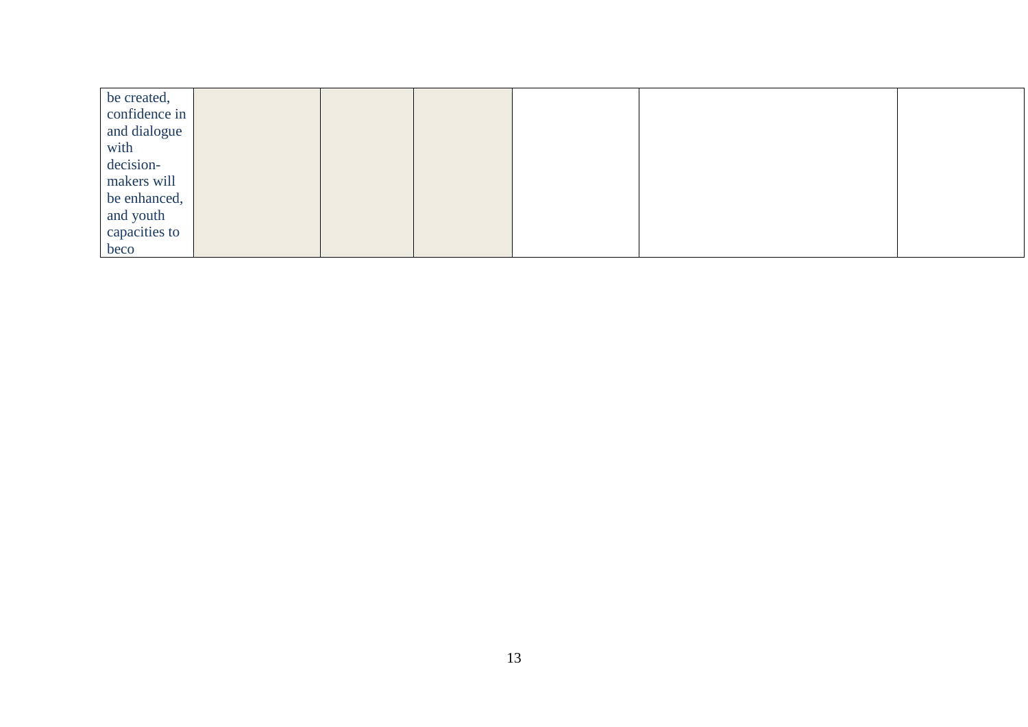| be created,   |  |  |  |
|---------------|--|--|--|
| confidence in |  |  |  |
| and dialogue  |  |  |  |
| with          |  |  |  |
| decision-     |  |  |  |
| makers will   |  |  |  |
| be enhanced,  |  |  |  |
| and youth     |  |  |  |
| capacities to |  |  |  |
| beco          |  |  |  |